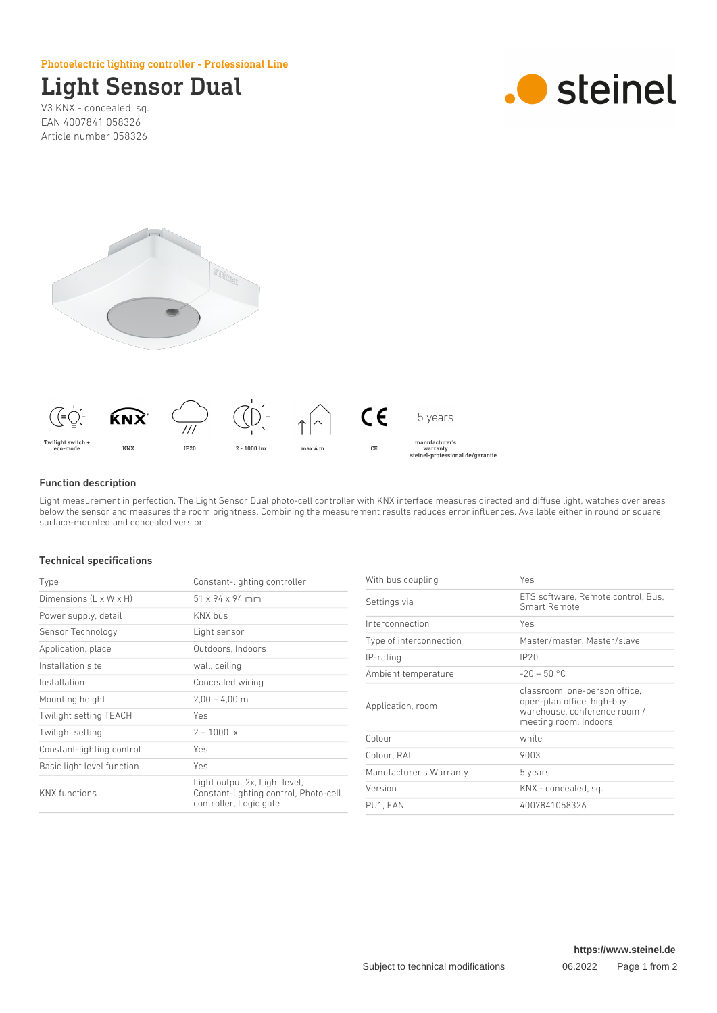### Photoelectric lighting controller - Professional Line

# Light Sensor Dual

V3 KNX - concealed, sq. EAN 4007841 058326 Article number 058326







### Function description

Light measurement in perfection. The Light Sensor Dual photo-cell controller with KNX interface measures directed and diffuse light, watches over areas below the sensor and measures the room brightness. Combining the measurement results reduces error influences. Available either in round or square surface-mounted and concealed version.

#### Technical specifications

| Type                       | Constant-lighting controller                                                                     |
|----------------------------|--------------------------------------------------------------------------------------------------|
| Dimensions (L x W x H)     | $51 \times 94 \times 94$ mm                                                                      |
| Power supply, detail       | KNX bus                                                                                          |
| Sensor Technology          | Light sensor                                                                                     |
| Application, place         | Outdoors, Indoors                                                                                |
| Installation site          | wall, ceiling                                                                                    |
| Installation               | Concealed wiring                                                                                 |
| Mounting height            | $2.00 - 4.00$ m                                                                                  |
| Twilight setting TEACH     | Yes                                                                                              |
| Twilight setting           | $2 - 1000$ lx                                                                                    |
| Constant-lighting control  | Yes                                                                                              |
| Basic light level function | Yes                                                                                              |
| <b>KNX</b> functions       | Light output 2x, Light level,<br>Constant-lighting control, Photo-cell<br>controller, Logic gate |

| Yes                                                                                                                  |
|----------------------------------------------------------------------------------------------------------------------|
| ETS software, Remote control, Bus,<br>Smart Remote                                                                   |
| Yes                                                                                                                  |
| Master/master, Master/slave                                                                                          |
| IP20                                                                                                                 |
| $-20 - 50$ °C                                                                                                        |
| classroom, one-person office,<br>open-plan office, high-bay<br>warehouse, conference room /<br>meeting room, Indoors |
| white                                                                                                                |
| 9003                                                                                                                 |
| 5 years                                                                                                              |
| KNX - concealed, sq.                                                                                                 |
| 4007841058326                                                                                                        |
|                                                                                                                      |